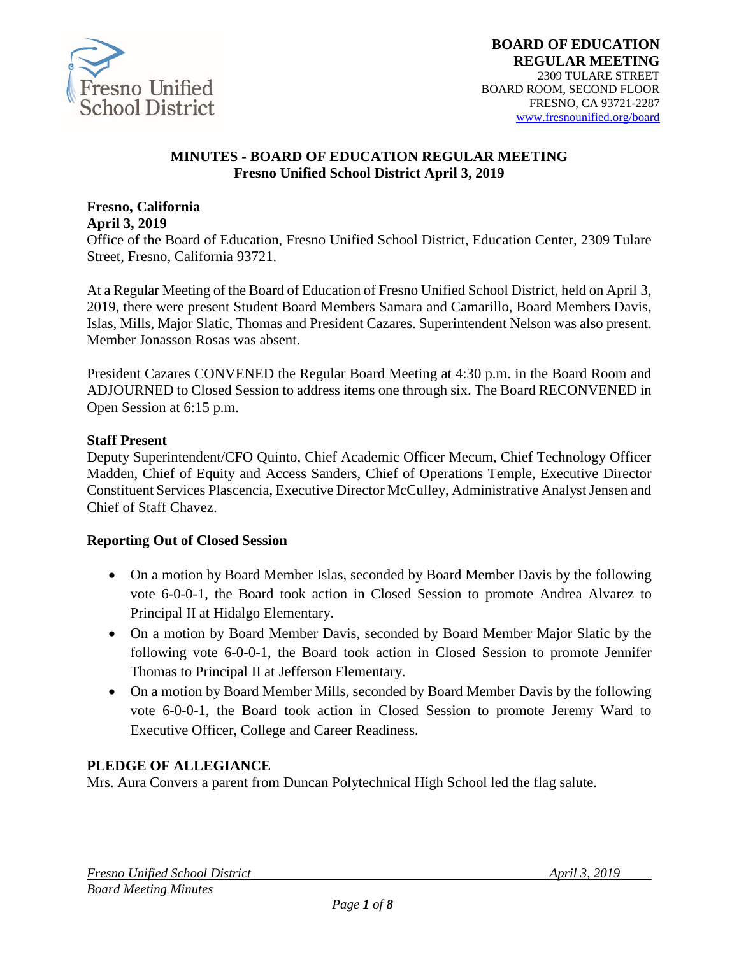

#### **MINUTES - BOARD OF EDUCATION REGULAR MEETING Fresno Unified School District April 3, 2019**

#### **Fresno, California April 3, 2019**

Office of the Board of Education, Fresno Unified School District, Education Center, 2309 Tulare Street, Fresno, California 93721.

At a Regular Meeting of the Board of Education of Fresno Unified School District, held on April 3, 2019, there were present Student Board Members Samara and Camarillo, Board Members Davis, Islas, Mills, Major Slatic, Thomas and President Cazares. Superintendent Nelson was also present. Member Jonasson Rosas was absent.

President Cazares CONVENED the Regular Board Meeting at 4:30 p.m. in the Board Room and ADJOURNED to Closed Session to address items one through six. The Board RECONVENED in Open Session at 6:15 p.m.

#### **Staff Present**

Deputy Superintendent/CFO Quinto, Chief Academic Officer Mecum, Chief Technology Officer Madden, Chief of Equity and Access Sanders, Chief of Operations Temple, Executive Director Constituent Services Plascencia, Executive Director McCulley, Administrative Analyst Jensen and Chief of Staff Chavez.

#### **Reporting Out of Closed Session**

- On a motion by Board Member Islas, seconded by Board Member Davis by the following vote 6-0-0-1, the Board took action in Closed Session to promote Andrea Alvarez to Principal II at Hidalgo Elementary.
- On a motion by Board Member Davis, seconded by Board Member Major Slatic by the following vote 6-0-0-1, the Board took action in Closed Session to promote Jennifer Thomas to Principal II at Jefferson Elementary.
- On a motion by Board Member Mills, seconded by Board Member Davis by the following vote 6-0-0-1, the Board took action in Closed Session to promote Jeremy Ward to Executive Officer, College and Career Readiness.

#### **PLEDGE OF ALLEGIANCE**

Mrs. Aura Convers a parent from Duncan Polytechnical High School led the flag salute.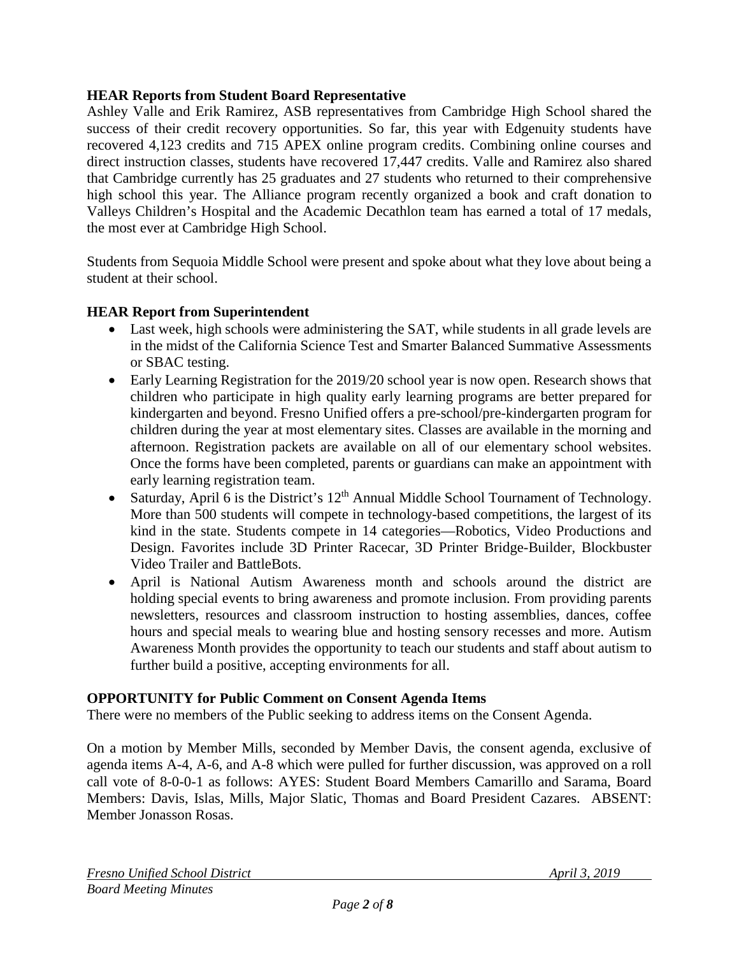#### **HEAR Reports from Student Board Representative**

Ashley Valle and Erik Ramirez, ASB representatives from Cambridge High School shared the success of their credit recovery opportunities. So far, this year with Edgenuity students have recovered 4,123 credits and 715 APEX online program credits. Combining online courses and direct instruction classes, students have recovered 17,447 credits. Valle and Ramirez also shared that Cambridge currently has 25 graduates and 27 students who returned to their comprehensive high school this year. The Alliance program recently organized a book and craft donation to Valleys Children's Hospital and the Academic Decathlon team has earned a total of 17 medals, the most ever at Cambridge High School.

Students from Sequoia Middle School were present and spoke about what they love about being a student at their school.

### **HEAR Report from Superintendent**

- Last week, high schools were administering the SAT, while students in all grade levels are in the midst of the California Science Test and Smarter Balanced Summative Assessments or SBAC testing.
- Early Learning Registration for the 2019/20 school year is now open. Research shows that children who participate in high quality early learning programs are better prepared for kindergarten and beyond. Fresno Unified offers a pre-school/pre-kindergarten program for children during the year at most elementary sites. Classes are available in the morning and afternoon. Registration packets are available on all of our elementary school websites. Once the forms have been completed, parents or guardians can make an appointment with early learning registration team.
- Saturday, April 6 is the District's  $12<sup>th</sup>$  Annual Middle School Tournament of Technology. More than 500 students will compete in technology-based competitions, the largest of its kind in the state. Students compete in 14 categories—Robotics, Video Productions and Design. Favorites include 3D Printer Racecar, 3D Printer Bridge-Builder, Blockbuster Video Trailer and BattleBots.
- April is National Autism Awareness month and schools around the district are holding special events to bring awareness and promote inclusion. From providing parents newsletters, resources and classroom instruction to hosting assemblies, dances, coffee hours and special meals to wearing blue and hosting sensory recesses and more. Autism Awareness Month provides the opportunity to teach our students and staff about autism to further build a positive, accepting environments for all.

#### **OPPORTUNITY for Public Comment on Consent Agenda Items**

There were no members of the Public seeking to address items on the Consent Agenda.

On a motion by Member Mills, seconded by Member Davis, the consent agenda, exclusive of agenda items A-4, A-6, and A-8 which were pulled for further discussion, was approved on a roll call vote of 8-0-0-1 as follows: AYES: Student Board Members Camarillo and Sarama, Board Members: Davis, Islas, Mills, Major Slatic, Thomas and Board President Cazares. ABSENT: Member Jonasson Rosas.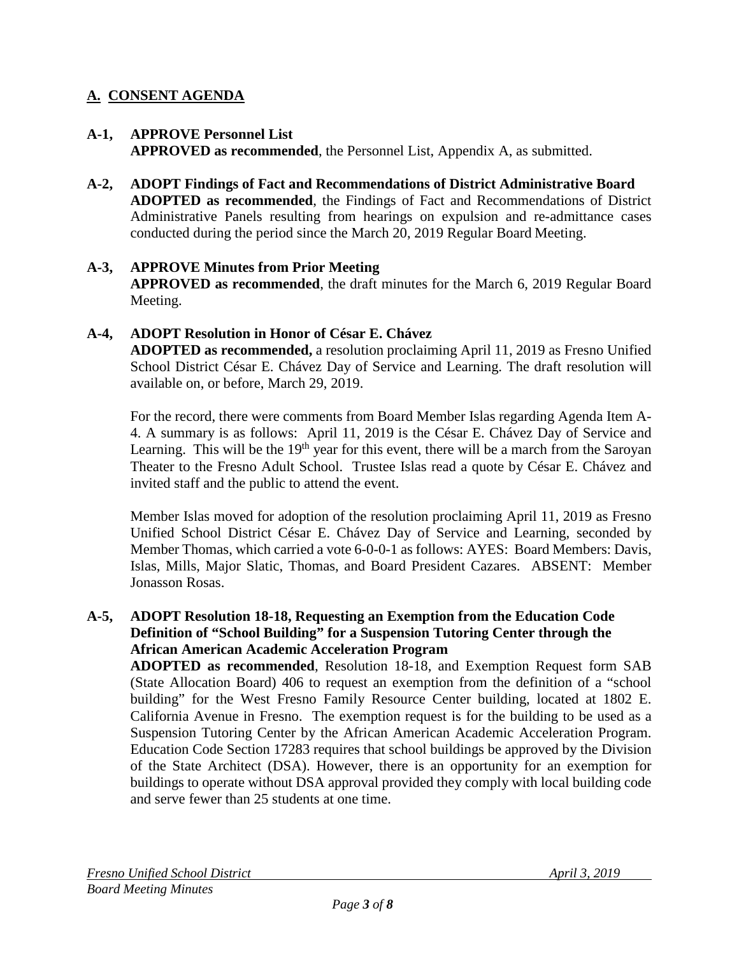# **A. CONSENT AGENDA**

### **A-1, APPROVE Personnel List**

**APPROVED as recommended**, the Personnel List, Appendix A, as submitted.

**A-2, ADOPT Findings of Fact and Recommendations of District Administrative Board ADOPTED as recommended**, the Findings of Fact and Recommendations of District Administrative Panels resulting from hearings on expulsion and re-admittance cases conducted during the period since the March 20, 2019 Regular Board Meeting.

#### **A-3, APPROVE Minutes from Prior Meeting APPROVED as recommended**, the draft minutes for the March 6, 2019 Regular Board Meeting.

#### **A-4, ADOPT Resolution in Honor of César E. Chávez ADOPTED as recommended,** a resolution proclaiming April 11, 2019 as Fresno Unified School District César E. Chávez Day of Service and Learning. The draft resolution will available on, or before, March 29, 2019.

For the record, there were comments from Board Member Islas regarding Agenda Item A-4. A summary is as follows: April 11, 2019 is the César E. Chávez Day of Service and Learning. This will be the 19<sup>th</sup> year for this event, there will be a march from the Saroyan Theater to the Fresno Adult School. Trustee Islas read a quote by César E. Chávez and invited staff and the public to attend the event.

Member Islas moved for adoption of the resolution proclaiming April 11, 2019 as Fresno Unified School District César E. Chávez Day of Service and Learning, seconded by Member Thomas, which carried a vote 6-0-0-1 as follows: AYES: Board Members: Davis, Islas, Mills, Major Slatic, Thomas, and Board President Cazares. ABSENT: Member Jonasson Rosas.

#### **A-5, ADOPT Resolution 18-18, Requesting an Exemption from the Education Code Definition of "School Building" for a Suspension Tutoring Center through the African American Academic Acceleration Program**

**ADOPTED as recommended**, Resolution 18-18, and Exemption Request form SAB (State Allocation Board) 406 to request an exemption from the definition of a "school building" for the West Fresno Family Resource Center building, located at 1802 E. California Avenue in Fresno. The exemption request is for the building to be used as a Suspension Tutoring Center by the African American Academic Acceleration Program. Education Code Section 17283 requires that school buildings be approved by the Division of the State Architect (DSA). However, there is an opportunity for an exemption for buildings to operate without DSA approval provided they comply with local building code and serve fewer than 25 students at one time.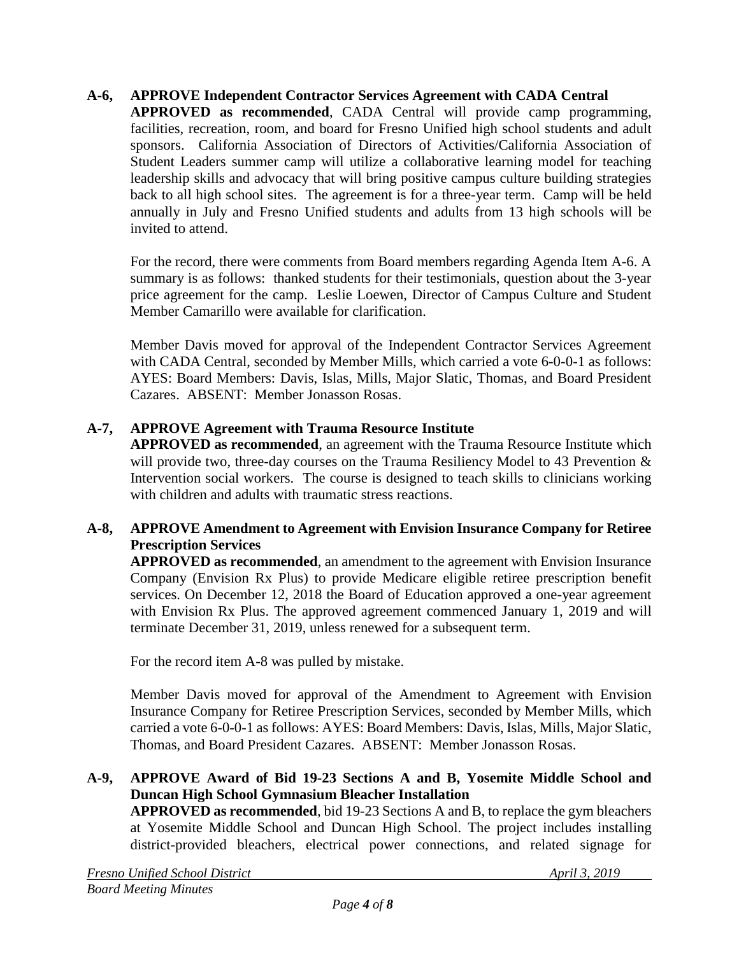### **A-6, APPROVE Independent Contractor Services Agreement with CADA Central**

**APPROVED as recommended**, CADA Central will provide camp programming, facilities, recreation, room, and board for Fresno Unified high school students and adult sponsors. California Association of Directors of Activities/California Association of Student Leaders summer camp will utilize a collaborative learning model for teaching leadership skills and advocacy that will bring positive campus culture building strategies back to all high school sites. The agreement is for a three-year term. Camp will be held annually in July and Fresno Unified students and adults from 13 high schools will be invited to attend.

For the record, there were comments from Board members regarding Agenda Item A-6. A summary is as follows: thanked students for their testimonials, question about the 3-year price agreement for the camp. Leslie Loewen, Director of Campus Culture and Student Member Camarillo were available for clarification.

Member Davis moved for approval of the Independent Contractor Services Agreement with CADA Central, seconded by Member Mills, which carried a vote 6-0-0-1 as follows: AYES: Board Members: Davis, Islas, Mills, Major Slatic, Thomas, and Board President Cazares. ABSENT: Member Jonasson Rosas.

### **A-7, APPROVE Agreement with Trauma Resource Institute**

**APPROVED as recommended**, an agreement with the Trauma Resource Institute which will provide two, three-day courses on the Trauma Resiliency Model to 43 Prevention  $\&$ Intervention social workers. The course is designed to teach skills to clinicians working with children and adults with traumatic stress reactions.

### **A-8, APPROVE Amendment to Agreement with Envision Insurance Company for Retiree Prescription Services**

**APPROVED as recommended**, an amendment to the agreement with Envision Insurance Company (Envision Rx Plus) to provide Medicare eligible retiree prescription benefit services. On December 12, 2018 the Board of Education approved a one-year agreement with Envision Rx Plus. The approved agreement commenced January 1, 2019 and will terminate December 31, 2019, unless renewed for a subsequent term.

For the record item A-8 was pulled by mistake.

Member Davis moved for approval of the Amendment to Agreement with Envision Insurance Company for Retiree Prescription Services, seconded by Member Mills, which carried a vote 6-0-0-1 as follows: AYES: Board Members: Davis, Islas, Mills, Major Slatic, Thomas, and Board President Cazares. ABSENT: Member Jonasson Rosas.

## **A-9, APPROVE Award of Bid 19-23 Sections A and B, Yosemite Middle School and Duncan High School Gymnasium Bleacher Installation**

**APPROVED as recommended**, bid 19-23 Sections A and B, to replace the gym bleachers at Yosemite Middle School and Duncan High School. The project includes installing district-provided bleachers, electrical power connections, and related signage for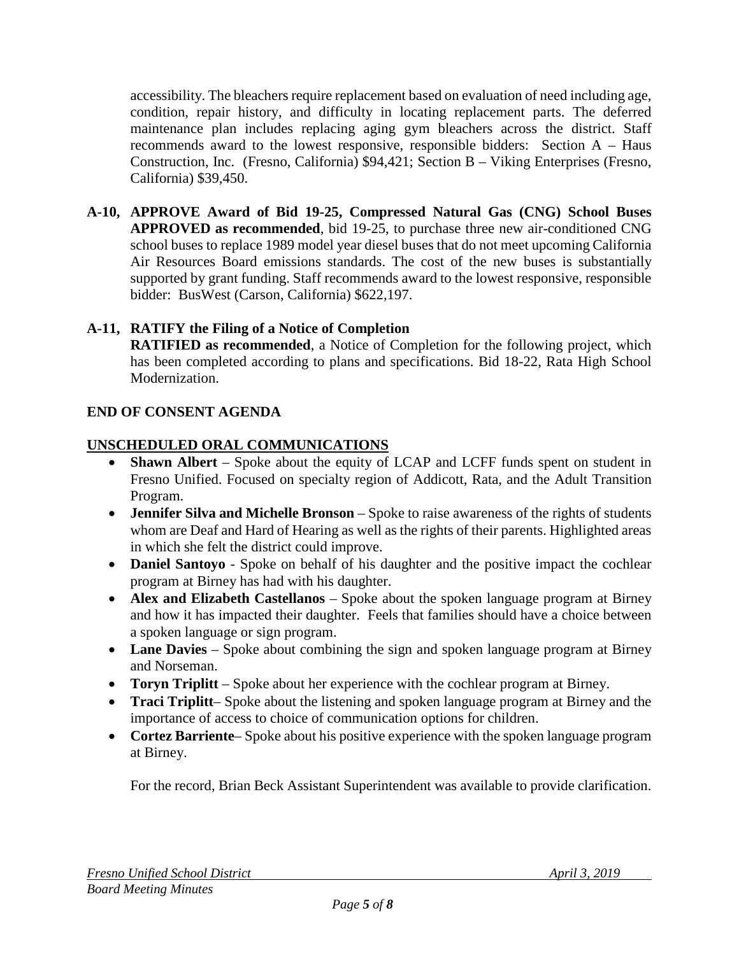accessibility. The bleachers require replacement based on evaluation of need including age, condition, repair history, and difficulty in locating replacement parts. The deferred maintenance plan includes replacing aging gym bleachers across the district. Staff recommends award to the lowest responsive, responsible bidders: Section A – Haus Construction, Inc. (Fresno, California) \$94,421; Section B – Viking Enterprises (Fresno, California) \$39,450.

**A-10, APPROVE Award of Bid 19-25, Compressed Natural Gas (CNG) School Buses APPROVED as recommended**, bid 19-25, to purchase three new air-conditioned CNG school buses to replace 1989 model year diesel buses that do not meet upcoming California Air Resources Board emissions standards. The cost of the new buses is substantially supported by grant funding. Staff recommends award to the lowest responsive, responsible bidder: BusWest (Carson, California) \$622,197.

# **A-11, RATIFY the Filing of a Notice of Completion**

**RATIFIED as recommended**, a Notice of Completion for the following project, which has been completed according to plans and specifications. Bid 18-22, Rata High School Modernization.

# **END OF CONSENT AGENDA**

# **UNSCHEDULED ORAL COMMUNICATIONS**

- **Shawn Albert** Spoke about the equity of LCAP and LCFF funds spent on student in Fresno Unified. Focused on specialty region of Addicott, Rata, and the Adult Transition Program.
- **Jennifer Silva and Michelle Bronson** Spoke to raise awareness of the rights of students whom are Deaf and Hard of Hearing as well as the rights of their parents. Highlighted areas in which she felt the district could improve.
- **Daniel Santovo** Spoke on behalf of his daughter and the positive impact the cochlear program at Birney has had with his daughter.
- **Alex and Elizabeth Castellanos** Spoke about the spoken language program at Birney and how it has impacted their daughter. Feels that families should have a choice between a spoken language or sign program.
- Lane Davies Spoke about combining the sign and spoken language program at Birney and Norseman.
- **Toryn Triplitt**  Spoke about her experience with the cochlear program at Birney.
- **Traci Triplitt** Spoke about the listening and spoken language program at Birney and the importance of access to choice of communication options for children.
- **Cortez Barriente** Spoke about his positive experience with the spoken language program at Birney.

For the record, Brian Beck Assistant Superintendent was available to provide clarification.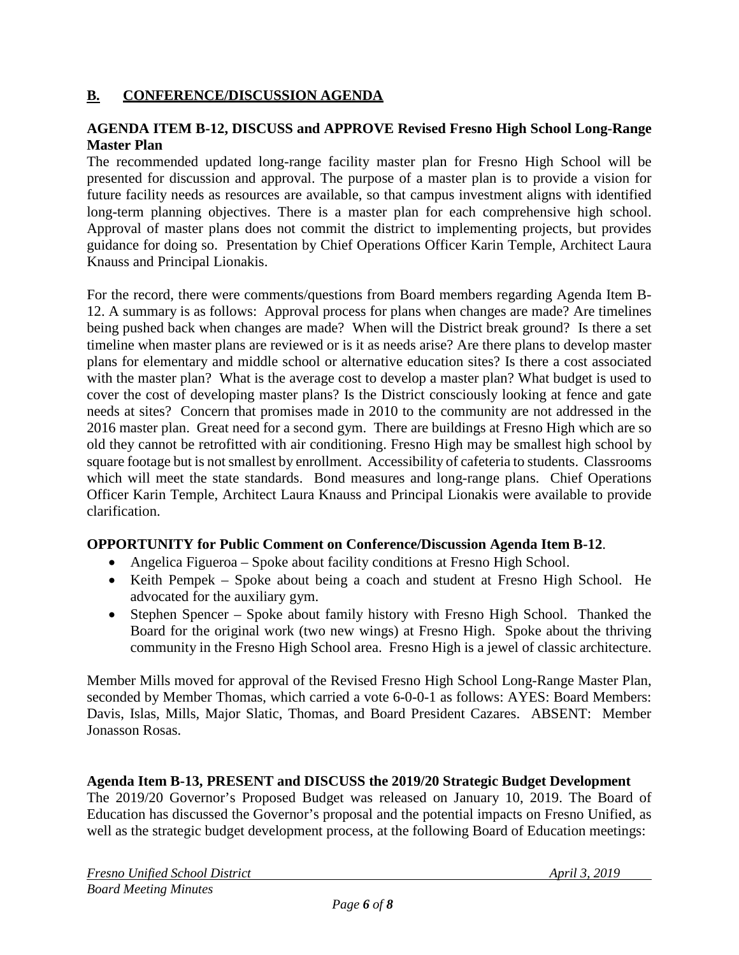## **B. CONFERENCE/DISCUSSION AGENDA**

#### **AGENDA ITEM B-12, DISCUSS and APPROVE Revised Fresno High School Long-Range Master Plan**

The recommended updated long-range facility master plan for Fresno High School will be presented for discussion and approval. The purpose of a master plan is to provide a vision for future facility needs as resources are available, so that campus investment aligns with identified long-term planning objectives. There is a master plan for each comprehensive high school. Approval of master plans does not commit the district to implementing projects, but provides guidance for doing so. Presentation by Chief Operations Officer Karin Temple, Architect Laura Knauss and Principal Lionakis.

For the record, there were comments/questions from Board members regarding Agenda Item B-12. A summary is as follows: Approval process for plans when changes are made? Are timelines being pushed back when changes are made? When will the District break ground? Is there a set timeline when master plans are reviewed or is it as needs arise? Are there plans to develop master plans for elementary and middle school or alternative education sites? Is there a cost associated with the master plan? What is the average cost to develop a master plan? What budget is used to cover the cost of developing master plans? Is the District consciously looking at fence and gate needs at sites? Concern that promises made in 2010 to the community are not addressed in the 2016 master plan. Great need for a second gym. There are buildings at Fresno High which are so old they cannot be retrofitted with air conditioning. Fresno High may be smallest high school by square footage but is not smallest by enrollment. Accessibility of cafeteria to students. Classrooms which will meet the state standards. Bond measures and long-range plans. Chief Operations Officer Karin Temple, Architect Laura Knauss and Principal Lionakis were available to provide clarification.

#### **OPPORTUNITY for Public Comment on Conference/Discussion Agenda Item B-12**.

- Angelica Figueroa Spoke about facility conditions at Fresno High School.
- Keith Pempek Spoke about being a coach and student at Fresno High School. He advocated for the auxiliary gym.
- Stephen Spencer Spoke about family history with Fresno High School. Thanked the Board for the original work (two new wings) at Fresno High. Spoke about the thriving community in the Fresno High School area. Fresno High is a jewel of classic architecture.

Member Mills moved for approval of the Revised Fresno High School Long-Range Master Plan, seconded by Member Thomas, which carried a vote 6-0-0-1 as follows: AYES: Board Members: Davis, Islas, Mills, Major Slatic, Thomas, and Board President Cazares. ABSENT: Member Jonasson Rosas.

#### **Agenda Item B-13, PRESENT and DISCUSS the 2019/20 Strategic Budget Development**

The 2019/20 Governor's Proposed Budget was released on January 10, 2019. The Board of Education has discussed the Governor's proposal and the potential impacts on Fresno Unified, as well as the strategic budget development process, at the following Board of Education meetings: